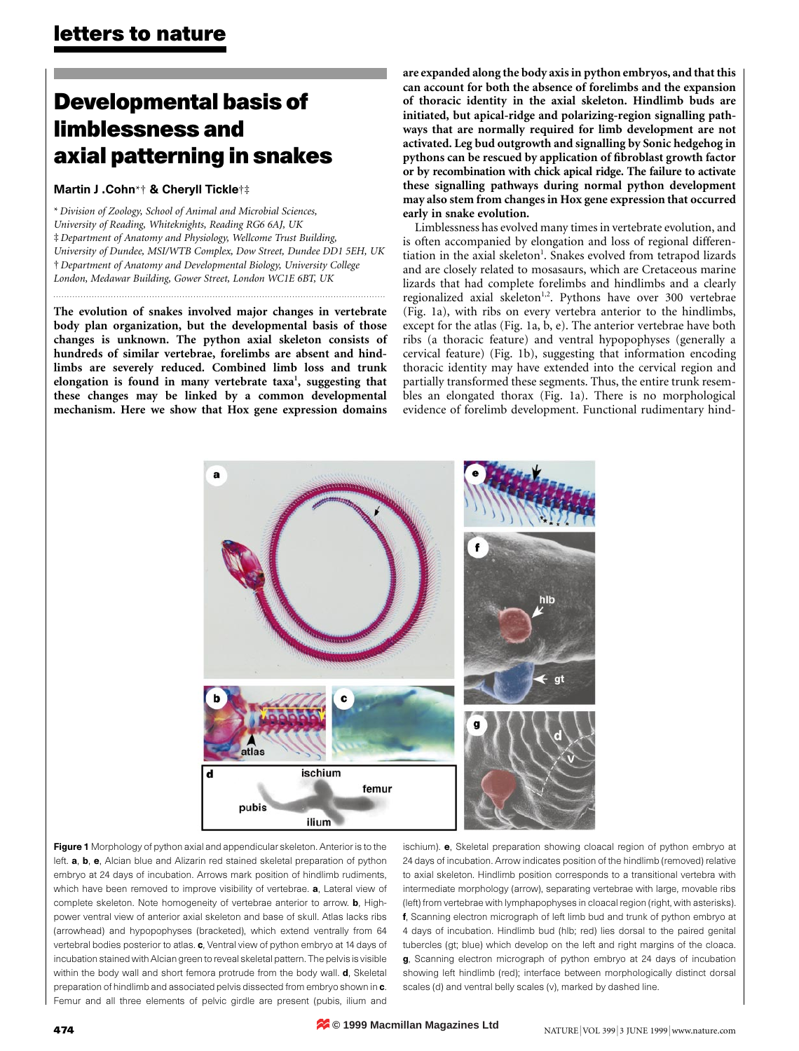# **Developmental basis of limblessness and axial patterning in snakes**

#### Martin J .Cohn\*† & Cheryll Tickle†‡

\* *Division of Zoology, School of Animal and Microbial Sciences, University of Reading, Whiteknights, Reading RG6 6AJ, UK* ‡ *Department of Anatomy and Physiology, Wellcome Trust Building, University of Dundee, MSI/WTB Complex, Dow Street, Dundee DD1 5EH, UK* † *Department of Anatomy and Developmental Biology, University College London, Medawar Building, Gower Street, London WC1E 6BT, UK*

**The evolution of snakes involved major changes in vertebrate body plan organization, but the developmental basis of those changes is unknown. The python axial skeleton consists of hundreds of similar vertebrae, forelimbs are absent and hindlimbs are severely reduced. Combined limb loss and trunk** elongation is found in many vertebrate taxa<sup>1</sup>, suggesting that **these changes may be linked by a common developmental mechanism. Here we show that Hox gene expression domains** **are expanded along the body axis in python embryos, and that this can account for both the absence of forelimbs and the expansion of thoracic identity in the axial skeleton. Hindlimb buds are initiated, but apical-ridge and polarizing-region signalling pathways that are normally required for limb development are not activated. Leg bud outgrowth and signalling by Sonic hedgehog in pythons can be rescued by application of fibroblast growth factor or by recombination with chick apical ridge. The failure to activate these signalling pathways during normal python development may also stem from changes in Hox gene expression that occurred early in snake evolution.**

Limblessness has evolved many times in vertebrate evolution, and is often accompanied by elongation and loss of regional differentiation in the axial skeleton<sup>1</sup>. Snakes evolved from tetrapod lizards and are closely related to mosasaurs, which are Cretaceous marine lizards that had complete forelimbs and hindlimbs and a clearly regionalized axial skeleton<sup>1,2</sup>. Pythons have over 300 vertebrae (Fig. 1a), with ribs on every vertebra anterior to the hindlimbs, except for the atlas (Fig. 1a, b, e). The anterior vertebrae have both ribs (a thoracic feature) and ventral hypopophyses (generally a cervical feature) (Fig. 1b), suggesting that information encoding thoracic identity may have extended into the cervical region and partially transformed these segments. Thus, the entire trunk resembles an elongated thorax (Fig. 1a). There is no morphological evidence of forelimb development. Functional rudimentary hind-



Figure 1 Morphology of python axial and appendicular skeleton. Anterior is to the left. a, b, e, Alcian blue and Alizarin red stained skeletal preparation of python embryo at 24 days of incubation. Arrows mark position of hindlimb rudiments, which have been removed to improve visibility of vertebrae. a, Lateral view of complete skeleton. Note homogeneity of vertebrae anterior to arrow. **b**, Highpower ventral view of anterior axial skeleton and base of skull. Atlas lacks ribs (arrowhead) and hypopophyses (bracketed), which extend ventrally from 64 vertebral bodies posterior to atlas. c, Ventral view of python embryo at 14 days of incubation stained with Alcian green to reveal skeletal pattern. The pelvis is visible within the body wall and short femora protrude from the body wall. **d**, Skeletal preparation of hindlimb and associated pelvis dissected from embryo shown in  $c$ . Femur and all three elements of pelvic girdle are present (pubis, ilium and

ischium). e, Skeletal preparation showing cloacal region of python embryo at 24 days of incubation. Arrow indicates position of the hindlimb (removed) relative to axial skeleton. Hindlimb position corresponds to a transitional vertebra with intermediate morphology (arrow), separating vertebrae with large, movable ribs (left) from vertebrae with lymphapophyses in cloacal region (right, with asterisks). f, Scanning electron micrograph of left limb bud and trunk of python embryo at 4 days of incubation. Hindlimb bud (hlb; red) lies dorsal to the paired genital tubercles (gt; blue) which develop on the left and right margins of the cloaca. g, Scanning electron micrograph of python embryo at 24 days of incubation showing left hindlimb (red); interface between morphologically distinct dorsal scales (d) and ventral belly scales (v), marked by dashed line.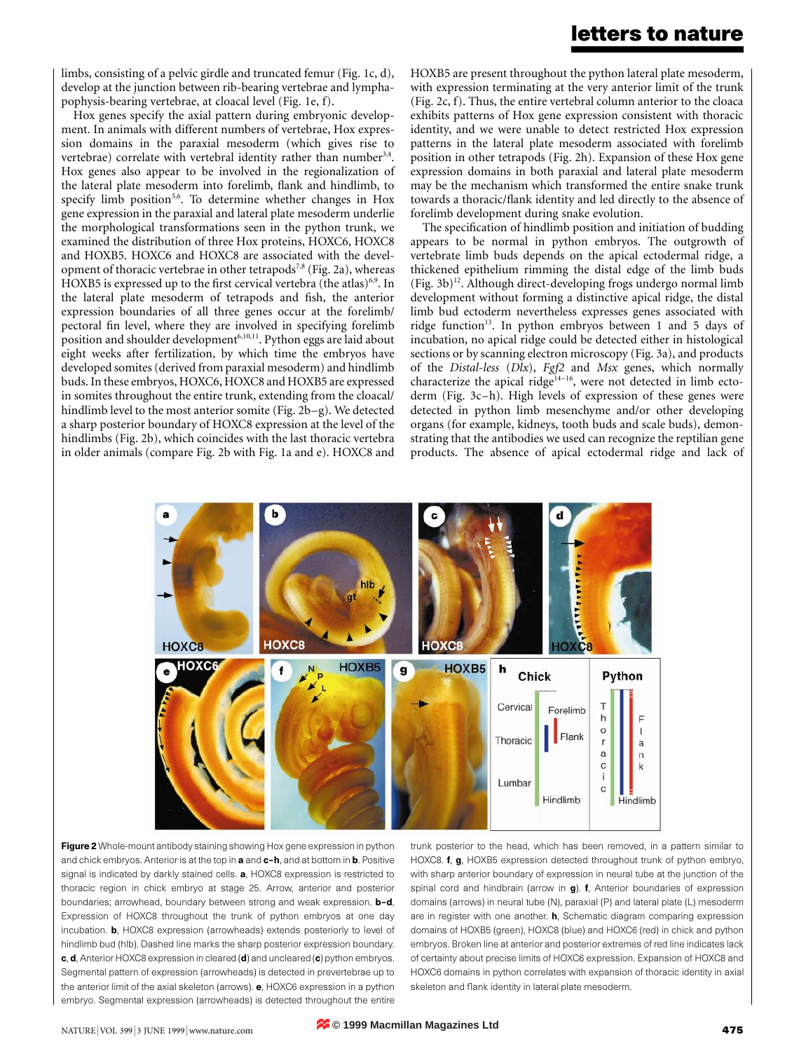### **letters to nature**

limbs, consisting of a pelvic girdle and truncated femur (Fig. 1c, d), develop at the junction between rib-bearing vertebrae and lymphapophysis-bearing vertebrae, at cloacal level (Fig. 1e, f).

Hox genes specify the axial pattern during embryonic development. In animals with different numbers of vertebrae, Hox expression domains in the paraxial mesoderm (which gives rise to vertebrae) correlate with vertebral identity rather than number<sup>3,4</sup>. Hox genes also appear to be involved in the regionalization of the lateral plate mesoderm into forelimb, flank and hindlimb, to specify limb position<sup>5,6</sup>. To determine whether changes in Hox gene expression in the paraxial and lateral plate mesoderm underlie the morphological transformations seen in the python trunk, we examined the distribution of three Hox proteins, HOXC6, HOXC8 and HOXB5. HOXC6 and HOXC8 are associated with the development of thoracic vertebrae in other tetrapods<sup>7,8</sup> (Fig. 2a), whereas HOXB5 is expressed up to the first cervical vertebra (the atlas)<sup>6,9</sup>. In the lateral plate mesoderm of tetrapods and fish, the anterior expression boundaries of all three genes occur at the forelimb/ pectoral fin level, where they are involved in specifying forelimb position and shoulder development<sup>6,10,11</sup>. Python eggs are laid about eight weeks after fertilization, by which time the embryos have developed somites (derived from paraxial mesoderm) and hindlimb buds. In these embryos, HOXC6, HOXC8 and HOXB5 are expressed in somites throughout the entire trunk, extending from the cloacal/ hindlimb level to the most anterior somite (Fig. 2b–g). We detected a sharp posterior boundary of HOXC8 expression at the level of the hindlimbs (Fig. 2b), which coincides with the last thoracic vertebra in older animals (compare Fig. 2b with Fig. 1a and e). HOXC8 and HOXB5 are present throughout the python lateral plate mesoderm, with expression terminating at the very anterior limit of the trunk (Fig. 2c, f). Thus, the entire vertebral column anterior to the cloaca exhibits patterns of Hox gene expression consistent with thoracic identity, and we were unable to detect restricted Hox expression patterns in the lateral plate mesoderm associated with forelimb position in other tetrapods (Fig. 2h). Expansion of these Hox gene expression domains in both paraxial and lateral plate mesoderm may be the mechanism which transformed the entire snake trunk towards a thoracic/flank identity and led directly to the absence of forelimb development during snake evolution.

The specification of hindlimb position and initiation of budding appears to be normal in python embryos. The outgrowth of vertebrate limb buds depends on the apical ectodermal ridge, a thickened epithelium rimming the distal edge of the limb buds  $(Fig. 3b)^{12}$ . Although direct-developing frogs undergo normal limb development without forming a distinctive apical ridge, the distal limb bud ectoderm nevertheless expresses genes associated with ridge function<sup>13</sup>. In python embryos between 1 and 5 days of incubation, no apical ridge could be detected either in histological sections or by scanning electron microscopy (Fig. 3a), and products of the *Distal-less* (*Dlx*), *Fgf2* and *Msx* genes, which normally characterize the apical ridge<sup>14–16</sup>, were not detected in limb ectoderm (Fig. 3c–h). High levels of expression of these genes were detected in python limb mesenchyme and/or other developing organs (for example, kidneys, tooth buds and scale buds), demonstrating that the antibodies we used can recognize the reptilian gene products. The absence of apical ectodermal ridge and lack of



Figure 2 Whole-mount antibody staining showing Hox gene expression in python and chick embryos. Anterior is at the top in a and c-h, and at bottom in b. Positive signal is indicated by darkly stained cells. a, HOXC8 expression is restricted to thoracic region in chick embryo at stage 25. Arrow, anterior and posterior boundaries; arrowhead, boundary between strong and weak expression. **b-d**, Expression of HOXC8 throughout the trunk of python embryos at one day incubation. b, HOXC8 expression (arrowheads) extends posteriorly to level of hindlimb bud (hlb). Dashed line marks the sharp posterior expression boundary. c, d, Anterior HOXC8 expression in cleared (d) and uncleared (c) python embryos. Segmental pattern of expression (arrowheads) is detected in prevertebrae up to the anterior limit of the axial skeleton (arrows). e, HOXC6 expression in a python embryo. Segmental expression (arrowheads) is detected throughout the entire

trunk posterior to the head, which has been removed, in a pattern similar to HOXC8. f, g, HOXB5 expression detected throughout trunk of python embryo, with sharp anterior boundary of expression in neural tube at the junction of the spinal cord and hindbrain (arrow in g). f, Anterior boundaries of expression domains (arrows) in neural tube (N), paraxial (P) and lateral plate (L) mesoderm are in register with one another. h, Schematic diagram comparing expression domains of HOXB5 (green), HOXC8 (blue) and HOXC6 (red) in chick and python embryos. Broken line at anterior and posterior extremes of red line indicates lack of certainty about precise limits of HOXC6 expression. Expansion of HOXC8 and HOXC6 domains in python correlates with expansion of thoracic identity in axial skeleton and flank identity in lateral plate mesoderm.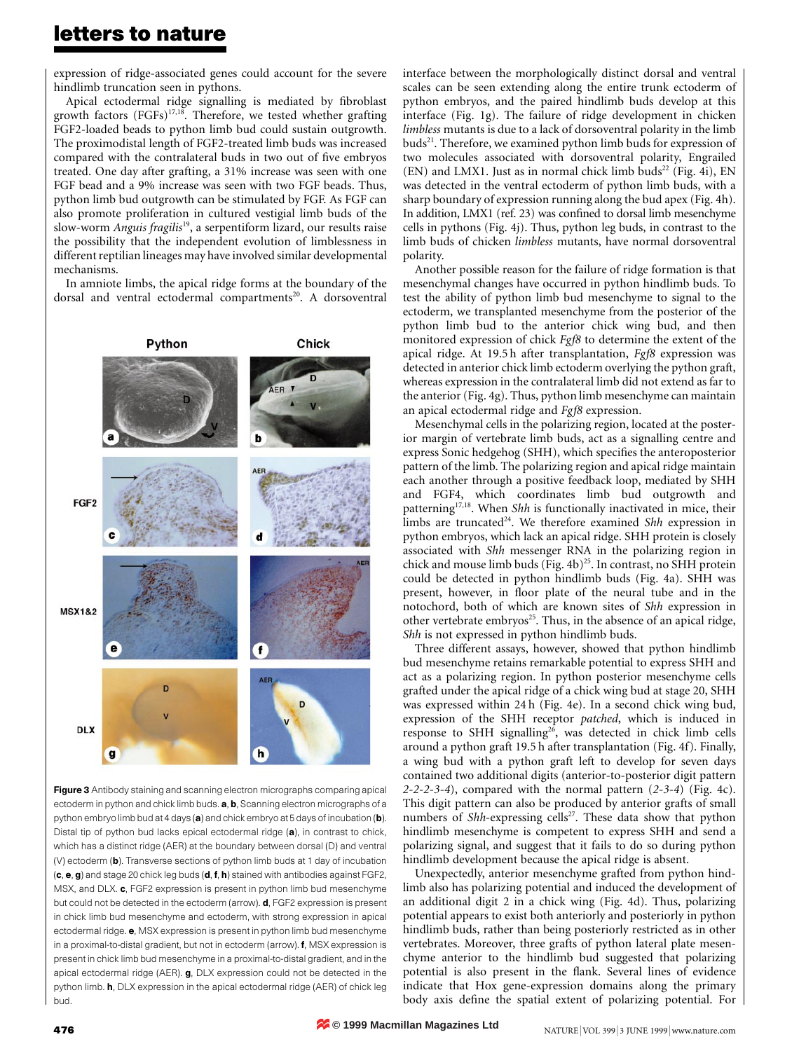## **letters to nature**

expression of ridge-associated genes could account for the severe hindlimb truncation seen in pythons.

Apical ectodermal ridge signalling is mediated by fibroblast growth factors  $(FGFs)^{17,18}$ . Therefore, we tested whether grafting FGF2-loaded beads to python limb bud could sustain outgrowth. The proximodistal length of FGF2-treated limb buds was increased compared with the contralateral buds in two out of five embryos treated. One day after grafting, a 31% increase was seen with one FGF bead and a 9% increase was seen with two FGF beads. Thus, python limb bud outgrowth can be stimulated by FGF. As FGF can also promote proliferation in cultured vestigial limb buds of the slow-worm *Anguis fragilis*19, a serpentiform lizard, our results raise the possibility that the independent evolution of limblessness in different reptilian lineages may have involved similar developmental mechanisms.

In amniote limbs, the apical ridge forms at the boundary of the dorsal and ventral ectodermal compartments<sup>20</sup>. A dorsoventral



Figure 3 Antibody staining and scanning electron micrographs comparing apical ectoderm in python and chick limb buds. a, b, Scanning electron micrographs of a python embryo limb bud at 4 days (a) and chick embryo at 5 days of incubation (b). Distal tip of python bud lacks epical ectodermal ridge (a), in contrast to chick, which has a distinct ridge (AER) at the boundary between dorsal (D) and ventral (V) ectoderm (b). Transverse sections of python limb buds at 1 day of incubation (c, e, g) and stage 20 chick leg buds (d, f, h) stained with antibodies against FGF2, MSX, and DLX. c, FGF2 expression is present in python limb bud mesenchyme but could not be detected in the ectoderm (arrow). **d**, FGF2 expression is present in chick limb bud mesenchyme and ectoderm, with strong expression in apical ectodermal ridge. e, MSX expression is present in python limb bud mesenchyme in a proximal-to-distal gradient, but not in ectoderm (arrow). f, MSX expression is present in chick limb bud mesenchyme in a proximal-to-distal gradient, and in the apical ectodermal ridge (AER). g, DLX expression could not be detected in the python limb. **h**, DLX expression in the apical ectodermal ridge (AER) of chick leg bud.

interface between the morphologically distinct dorsal and ventral scales can be seen extending along the entire trunk ectoderm of python embryos, and the paired hindlimb buds develop at this interface (Fig. 1g). The failure of ridge development in chicken *limbless* mutants is due to a lack of dorsoventral polarity in the limb  $buds<sup>21</sup>$ . Therefore, we examined python limb buds for expression of two molecules associated with dorsoventral polarity, Engrailed  $(EN)$  and LMX1. Just as in normal chick limb buds<sup>22</sup> (Fig. 4i), EN was detected in the ventral ectoderm of python limb buds, with a sharp boundary of expression running along the bud apex (Fig. 4h). In addition, LMX1 (ref. 23) was confined to dorsal limb mesenchyme cells in pythons (Fig. 4j). Thus, python leg buds, in contrast to the limb buds of chicken *limbless* mutants, have normal dorsoventral polarity.

Another possible reason for the failure of ridge formation is that mesenchymal changes have occurred in python hindlimb buds. To test the ability of python limb bud mesenchyme to signal to the ectoderm, we transplanted mesenchyme from the posterior of the python limb bud to the anterior chick wing bud, and then monitored expression of chick *Fgf8* to determine the extent of the apical ridge. At 19.5 h after transplantation, *Fgf8* expression was detected in anterior chick limb ectoderm overlying the python graft, whereas expression in the contralateral limb did not extend as far to the anterior (Fig. 4g). Thus, python limb mesenchyme can maintain an apical ectodermal ridge and *Fgf8* expression.

Mesenchymal cells in the polarizing region, located at the posterior margin of vertebrate limb buds, act as a signalling centre and express Sonic hedgehog (SHH), which specifies the anteroposterior pattern of the limb. The polarizing region and apical ridge maintain each another through a positive feedback loop, mediated by SHH and FGF4, which coordinates limb bud outgrowth and patterning<sup>17,18</sup>. When *Shh* is functionally inactivated in mice, their limbs are truncated<sup>24</sup>. We therefore examined *Shh* expression in python embryos, which lack an apical ridge. SHH protein is closely associated with *Shh* messenger RNA in the polarizing region in chick and mouse limb buds (Fig.  $4b$ )<sup>25</sup>. In contrast, no SHH protein could be detected in python hindlimb buds (Fig. 4a). SHH was present, however, in floor plate of the neural tube and in the notochord, both of which are known sites of *Shh* expression in other vertebrate embryos<sup>25</sup>. Thus, in the absence of an apical ridge, *Shh* is not expressed in python hindlimb buds.

Three different assays, however, showed that python hindlimb bud mesenchyme retains remarkable potential to express SHH and act as a polarizing region. In python posterior mesenchyme cells grafted under the apical ridge of a chick wing bud at stage 20, SHH was expressed within 24 h (Fig. 4e). In a second chick wing bud, expression of the SHH receptor *patched*, which is induced in response to SHH signalling<sup>26</sup>, was detected in chick limb cells around a python graft 19.5 h after transplantation (Fig. 4f). Finally, a wing bud with a python graft left to develop for seven days contained two additional digits (anterior-to-posterior digit pattern *2-2-2-3-4*), compared with the normal pattern (*2-3-4*) (Fig. 4c). This digit pattern can also be produced by anterior grafts of small numbers of *Shh*-expressing cells<sup>27</sup>. These data show that python hindlimb mesenchyme is competent to express SHH and send a polarizing signal, and suggest that it fails to do so during python hindlimb development because the apical ridge is absent.

Unexpectedly, anterior mesenchyme grafted from python hindlimb also has polarizing potential and induced the development of an additional digit 2 in a chick wing (Fig. 4d). Thus, polarizing potential appears to exist both anteriorly and posteriorly in python hindlimb buds, rather than being posteriorly restricted as in other vertebrates. Moreover, three grafts of python lateral plate mesenchyme anterior to the hindlimb bud suggested that polarizing potential is also present in the flank. Several lines of evidence indicate that Hox gene-expression domains along the primary body axis define the spatial extent of polarizing potential. For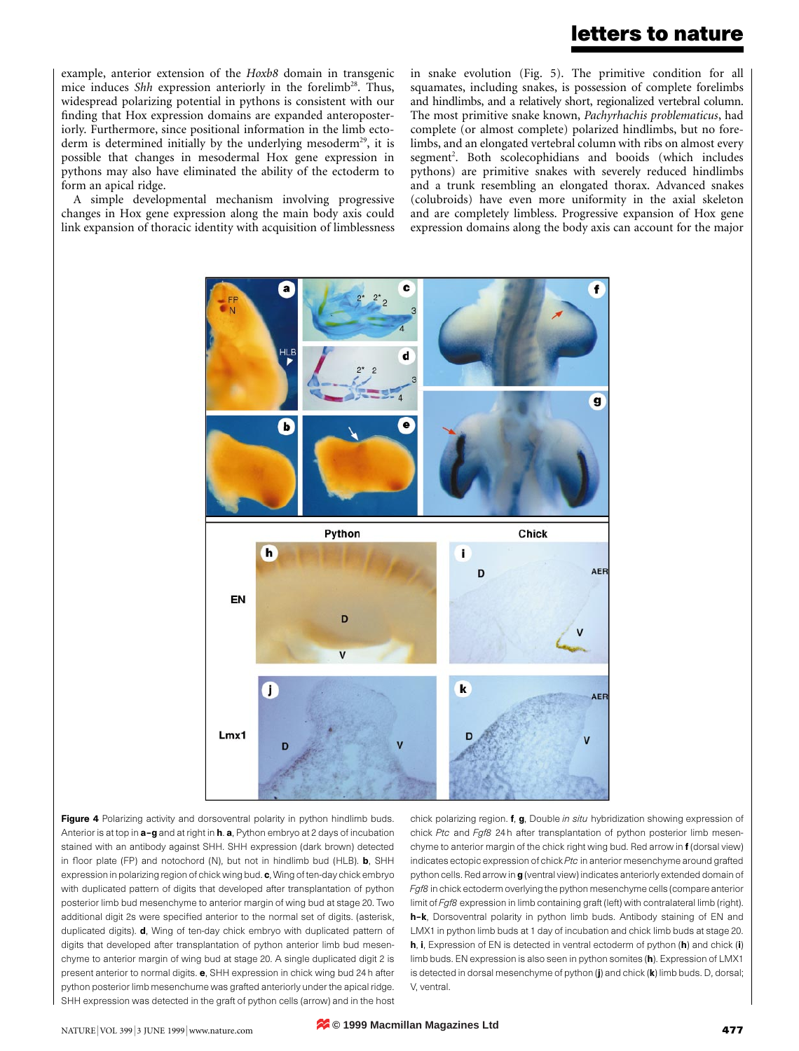example, anterior extension of the *Hoxb8* domain in transgenic mice induces *Shh* expression anteriorly in the forelimb<sup>28</sup>. Thus, widespread polarizing potential in pythons is consistent with our finding that Hox expression domains are expanded anteroposteriorly. Furthermore, since positional information in the limb ectoderm is determined initially by the underlying mesoderm<sup>29</sup>, it is possible that changes in mesodermal Hox gene expression in pythons may also have eliminated the ability of the ectoderm to form an apical ridge.

A simple developmental mechanism involving progressive changes in Hox gene expression along the main body axis could link expansion of thoracic identity with acquisition of limblessness in snake evolution (Fig. 5). The primitive condition for all squamates, including snakes, is possession of complete forelimbs and hindlimbs, and a relatively short, regionalized vertebral column. The most primitive snake known, *Pachyrhachis problematicus*, had complete (or almost complete) polarized hindlimbs, but no forelimbs, and an elongated vertebral column with ribs on almost every segment<sup>2</sup>. Both scolecophidians and booids (which includes pythons) are primitive snakes with severely reduced hindlimbs and a trunk resembling an elongated thorax. Advanced snakes (colubroids) have even more uniformity in the axial skeleton and are completely limbless. Progressive expansion of Hox gene expression domains along the body axis can account for the major



Figure 4 Polarizing activity and dorsoventral polarity in python hindlimb buds. Anterior is at top in **a-g** and at right in **h**. a, Python embryo at 2 days of incubation stained with an antibody against SHH. SHH expression (dark brown) detected in floor plate (FP) and notochord (N), but not in hindlimb bud (HLB). **b**, SHH expression in polarizing region of chick wing bud. c, Wing of ten-day chick embryo with duplicated pattern of digits that developed after transplantation of python posterior limb bud mesenchyme to anterior margin of wing bud at stage 20. Two additional digit 2s were specified anterior to the normal set of digits. (asterisk, duplicated digits). d, Wing of ten-day chick embryo with duplicated pattern of digits that developed after transplantation of python anterior limb bud mesenchyme to anterior margin of wing bud at stage 20. A single duplicated digit 2 is present anterior to normal digits. e, SHH expression in chick wing bud 24 h after python posterior limb mesenchume was grafted anteriorly under the apical ridge. SHH expression was detected in the graft of python cells (arrow) and in the host

chick polarizing region. f, g, Double *in situ* hybridization showing expression of chick *Ptc* and *Fgf8* 24 h after transplantation of python posterior limb mesenchyme to anterior margin of the chick right wing bud. Red arrow in f (dorsal view) indicates ectopic expression of chick *Ptc* in anterior mesenchyme around grafted python cells. Red arrow in g (ventral view) indicates anteriorly extended domain of *Fgf8* in chick ectoderm overlying the python mesenchyme cells (compare anterior limit of *Fgf8* expression in limb containing graft (left) with contralateral limb (right). h-k, Dorsoventral polarity in python limb buds. Antibody staining of EN and LMX1 in python limb buds at 1 day of incubation and chick limb buds at stage 20. h, i, Expression of EN is detected in ventral ectoderm of python (h) and chick (i) limb buds. EN expression is also seen in python somites (h). Expression of LMX1 is detected in dorsal mesenchyme of python (j) and chick (k) limb buds. D, dorsal; V, ventral.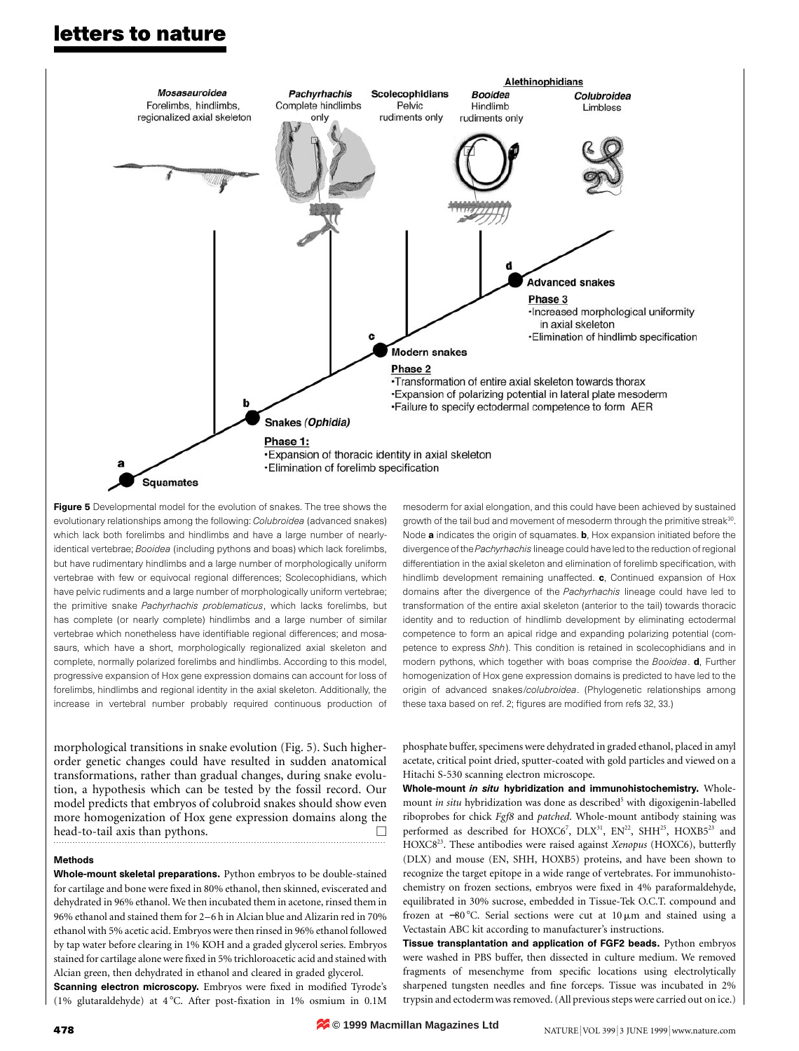## **letters to nature**



Figure 5 Developmental model for the evolution of snakes. The tree shows the evolutionary relationships among the following: *Colubroidea* (advanced snakes) which lack both forelimbs and hindlimbs and have a large number of nearlyidentical vertebrae; *Booidea* (including pythons and boas) which lack forelimbs, but have rudimentary hindlimbs and a large number of morphologically uniform vertebrae with few or equivocal regional differences; Scolecophidians, which have pelvic rudiments and a large number of morphologically uniform vertebrae; the primitive snake *Pachyrhachis problematicus*, which lacks forelimbs, but has complete (or nearly complete) hindlimbs and a large number of similar vertebrae which nonetheless have identifiable regional differences; and mosasaurs, which have a short, morphologically regionalized axial skeleton and complete, normally polarized forelimbs and hindlimbs. According to this model, progressive expansion of Hox gene expression domains can account for loss of forelimbs, hindlimbs and regional identity in the axial skeleton. Additionally, the increase in vertebral number probably required continuous production of

morphological transitions in snake evolution (Fig. 5). Such higherorder genetic changes could have resulted in sudden anatomical transformations, rather than gradual changes, during snake evolution, a hypothesis which can be tested by the fossil record. Our model predicts that embryos of colubroid snakes should show even more homogenization of Hox gene expression domains along the head-to-tail axis than pythons.

#### Methods

Whole-mount skeletal preparations. Python embryos to be double-stained for cartilage and bone were fixed in 80% ethanol, then skinned, eviscerated and dehydrated in 96% ethanol. We then incubated them in acetone, rinsed them in 96% ethanol and stained them for 2–6 h in Alcian blue and Alizarin red in 70% ethanol with 5% acetic acid. Embryos were then rinsed in 96% ethanol followed by tap water before clearing in 1% KOH and a graded glycerol series. Embryos stained for cartilage alone were fixed in 5% trichloroacetic acid and stained with Alcian green, then dehydrated in ethanol and cleared in graded glycerol.

Scanning electron microscopy. Embryos were fixed in modified Tyrode's (1% glutaraldehyde) at  $4^{\circ}$ C. After post-fixation in 1% osmium in 0.1M mesoderm for axial elongation, and this could have been achieved by sustained growth of the tail bud and movement of mesoderm through the primitive streak<sup>30</sup>. Node **a** indicates the origin of squamates. **b**, Hox expansion initiated before the divergence of the *Pachyrhachis* lineage could have led to the reduction of regional differentiation in the axial skeleton and elimination of forelimb specification, with hindlimb development remaining unaffected. c, Continued expansion of Hox domains after the divergence of the *Pachyrhachis* lineage could have led to transformation of the entire axial skeleton (anterior to the tail) towards thoracic identity and to reduction of hindlimb development by eliminating ectodermal competence to form an apical ridge and expanding polarizing potential (competence to express *Shh*). This condition is retained in scolecophidians and in modern pythons, which together with boas comprise the *Booidea*. d, Further homogenization of Hox gene expression domains is predicted to have led to the origin of advanced snakes/*colubroidea*. (Phylogenetic relationships among these taxa based on ref. 2; figures are modified from refs 32, 33.)

phosphate buffer, specimens were dehydrated in graded ethanol, placed in amyl acetate, critical point dried, sputter-coated with gold particles and viewed on a Hitachi S-530 scanning electron microscope.

Whole-mount *in situ* hybridization and immunohistochemistry. Wholemount *in situ* hybridization was done as described<sup>5</sup> with digoxigenin-labelled riboprobes for chick *Fgf8* and *patched*. Whole-mount antibody staining was performed as described for HOXC6<sup>7</sup>, DLX<sup>31</sup>, EN<sup>22</sup>, SHH<sup>25</sup>, HOXB5<sup>23</sup> and HOXC823. These antibodies were raised against *Xenopus* (HOXC6), butterfly (DLX) and mouse (EN, SHH, HOXB5) proteins, and have been shown to recognize the target epitope in a wide range of vertebrates. For immunohistochemistry on frozen sections, embryos were fixed in 4% paraformaldehyde, equilibrated in 30% sucrose, embedded in Tissue-Tek O.C.T. compound and frozen at −80 °C. Serial sections were cut at 10 µm and stained using a Vectastain ABC kit according to manufacturer's instructions.

Tissue transplantation and application of FGF2 beads. Python embryos were washed in PBS buffer, then dissected in culture medium. We removed fragments of mesenchyme from specific locations using electrolytically sharpened tungsten needles and fine forceps. Tissue was incubated in 2% trypsin and ectoderm was removed. (All previous steps were carried out on ice.)

**© 1999 Macmillan Magazines Ltd**